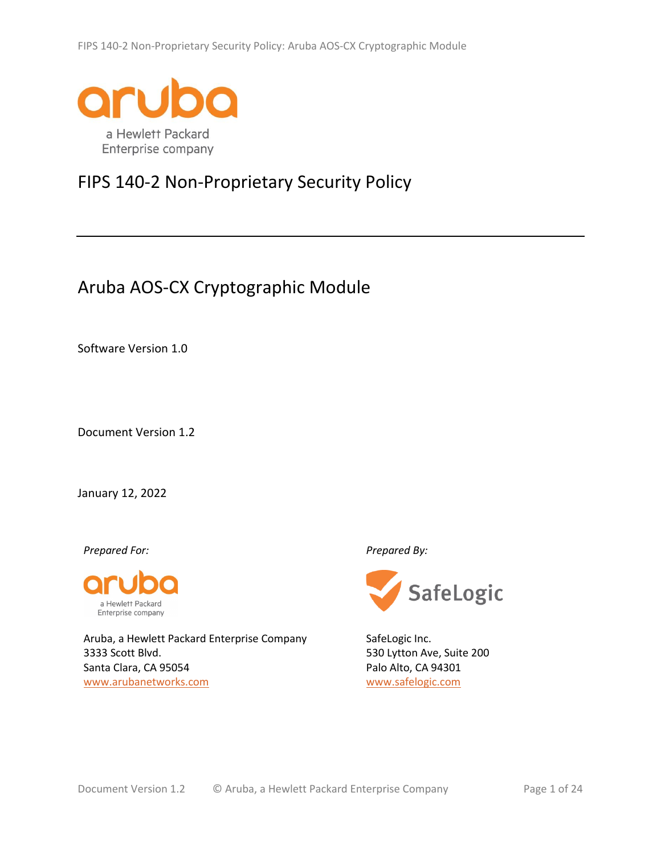

# FIPS 140-2 Non-Proprietary Security Policy

# Aruba AOS-CX Cryptographic Module

Software Version 1.0

Document Version 1.2

January 12, 2022

*Prepared For: Prepared By:*



Aruba, a Hewlett Packard Enterprise Company 3333 Scott Blvd. Santa Clara, CA 95054 www.arubanetworks.com



SafeLogic Inc. 530 Lytton Ave, Suite 200 Palo Alto, CA 94301 www.safelogic.com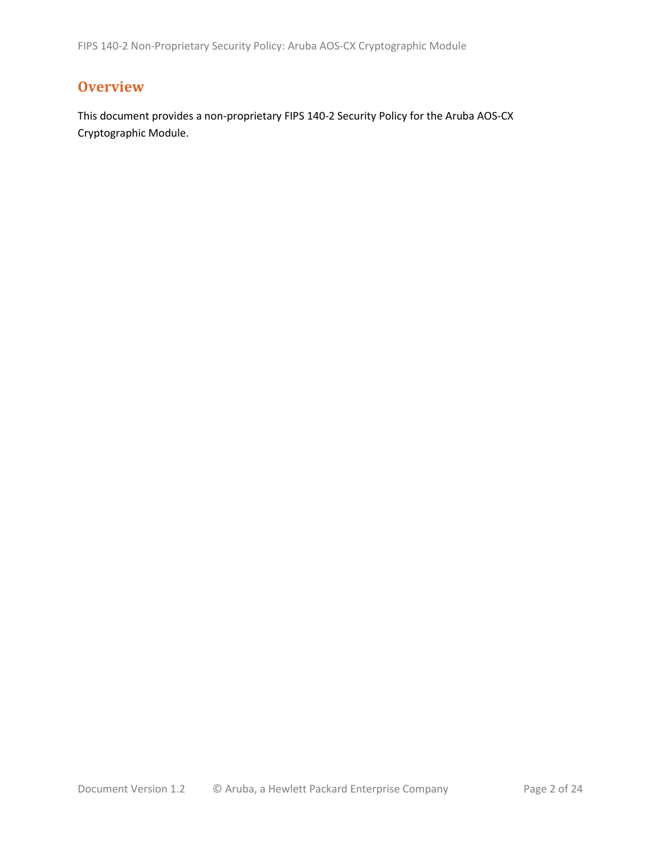# **Overview**

This document provides a non-proprietary FIPS 140-2 Security Policy for the Aruba AOS-CX Cryptographic Module.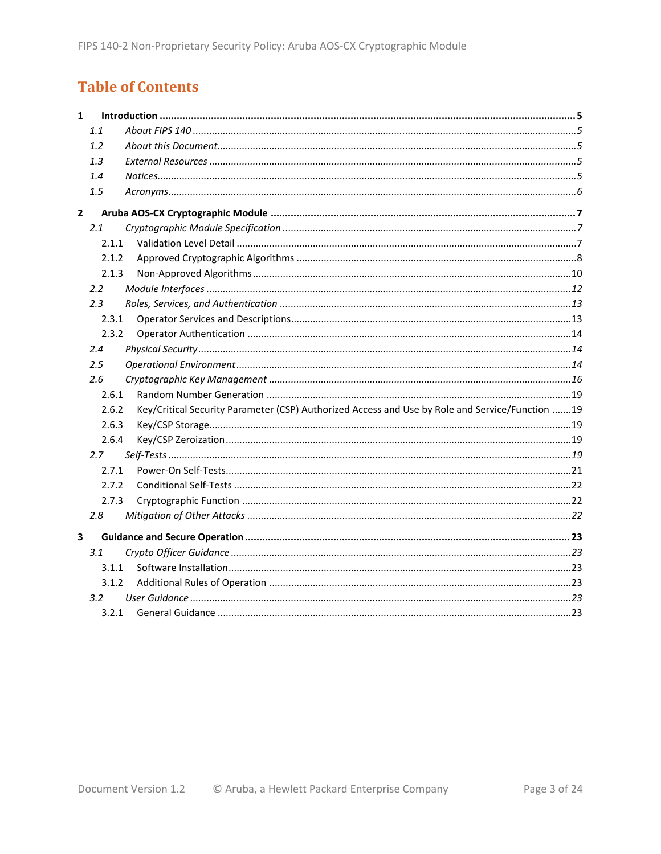# **Table of Contents**

| $\mathbf{1}$ |               |                                                                                                 |  |
|--------------|---------------|-------------------------------------------------------------------------------------------------|--|
|              | 1.1           |                                                                                                 |  |
|              | 1.2           |                                                                                                 |  |
|              | 1.3           |                                                                                                 |  |
|              | 1.4           |                                                                                                 |  |
|              | 1.5           |                                                                                                 |  |
| $\mathbf{2}$ |               |                                                                                                 |  |
|              | 2.1           |                                                                                                 |  |
|              | 2.1.1         |                                                                                                 |  |
|              | 2.1.2         |                                                                                                 |  |
|              | 2.1.3         |                                                                                                 |  |
|              | $2.2^{\circ}$ |                                                                                                 |  |
|              | 2.3           |                                                                                                 |  |
|              | 2.3.1         |                                                                                                 |  |
|              | 2.3.2         |                                                                                                 |  |
|              | 2.4           |                                                                                                 |  |
|              | $2.5\,$       |                                                                                                 |  |
|              | 2.6           |                                                                                                 |  |
|              | 2.6.1         |                                                                                                 |  |
|              | 2.6.2         | Key/Critical Security Parameter (CSP) Authorized Access and Use by Role and Service/Function 19 |  |
|              | 2.6.3         |                                                                                                 |  |
|              | 2.6.4         |                                                                                                 |  |
|              | 2.7           |                                                                                                 |  |
|              | 2.7.1         |                                                                                                 |  |
|              | 2.7.2         |                                                                                                 |  |
|              | 2.7.3         |                                                                                                 |  |
|              | 2.8           |                                                                                                 |  |
| 3            |               |                                                                                                 |  |
|              | 3.1           |                                                                                                 |  |
|              | 3.1.1         |                                                                                                 |  |
|              | 3.1.2         |                                                                                                 |  |
|              | $3.2^{\circ}$ |                                                                                                 |  |
|              | 3.2.1         |                                                                                                 |  |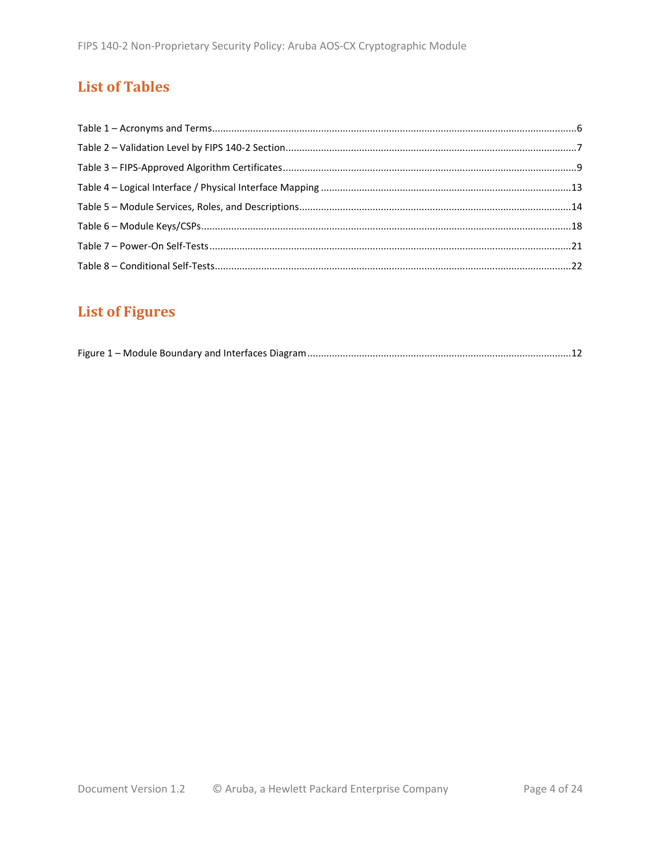# **List of Tables**

# **List of Figures**

|--|--|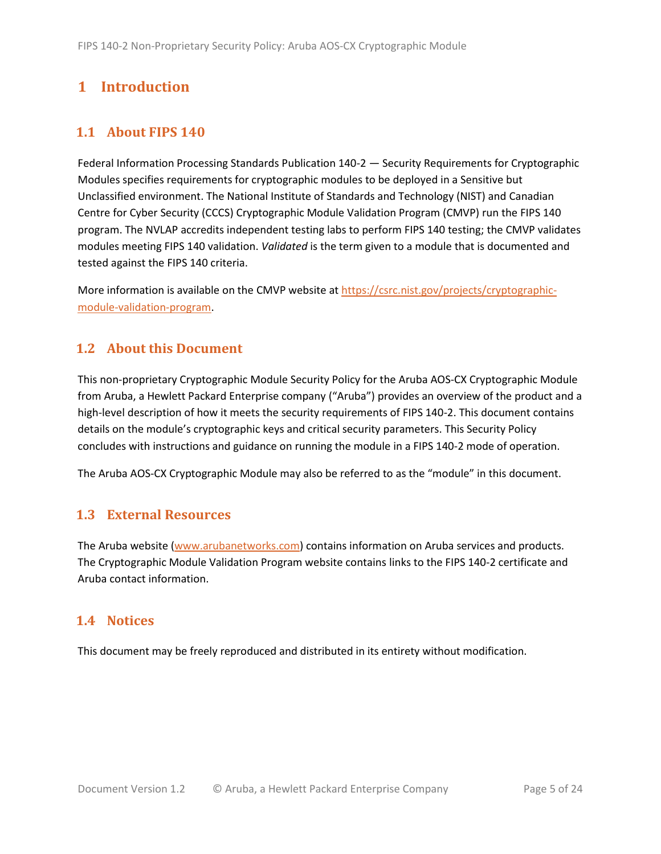# <span id="page-4-0"></span>**1 Introduction**

# <span id="page-4-1"></span>**1.1 About FIPS 140**

Federal Information Processing Standards Publication 140-2 — Security Requirements for Cryptographic Modules specifies requirements for cryptographic modules to be deployed in a Sensitive but Unclassified environment. The National Institute of Standards and Technology (NIST) and Canadian Centre for Cyber Security (CCCS) Cryptographic Module Validation Program (CMVP) run the FIPS 140 program. The NVLAP accredits independent testing labs to perform FIPS 140 testing; the CMVP validates modules meeting FIPS 140 validation. *Validated* is the term given to a module that is documented and tested against the FIPS 140 criteria.

More information is available on the CMVP website at https://csrc.nist.gov/projects/cryptographicmodule-validation-program.

## <span id="page-4-2"></span>**1.2 About this Document**

This non-proprietary Cryptographic Module Security Policy for the Aruba AOS-CX Cryptographic Module from Aruba, a Hewlett Packard Enterprise company ("Aruba") provides an overview of the product and a high-level description of how it meets the security requirements of FIPS 140-2. This document contains details on the module's cryptographic keys and critical security parameters. This Security Policy concludes with instructions and guidance on running the module in a FIPS 140-2 mode of operation.

The Aruba AOS-CX Cryptographic Module may also be referred to as the "module" in this document.

## <span id="page-4-3"></span>**1.3 External Resources**

The Aruba website [\(www.arubanetworks.com\)](http://www.arubanetworks.com/) contains information on Aruba services and products. The Cryptographic Module Validation Program website contains links to the FIPS 140-2 certificate and Aruba contact information.

#### <span id="page-4-4"></span>**1.4 Notices**

This document may be freely reproduced and distributed in its entirety without modification.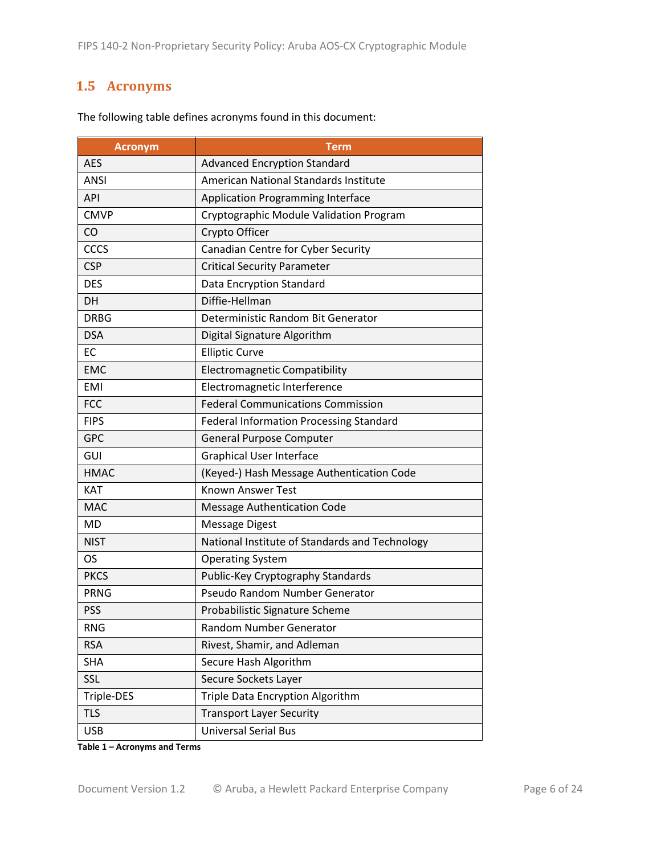# <span id="page-5-0"></span>**1.5 Acronyms**

| <b>Acronym</b> | <b>Term</b>                                    |
|----------------|------------------------------------------------|
| <b>AES</b>     | <b>Advanced Encryption Standard</b>            |
| <b>ANSI</b>    | American National Standards Institute          |
| <b>API</b>     | <b>Application Programming Interface</b>       |
| <b>CMVP</b>    | Cryptographic Module Validation Program        |
| CO             | Crypto Officer                                 |
| CCCS           | Canadian Centre for Cyber Security             |
| <b>CSP</b>     | <b>Critical Security Parameter</b>             |
| <b>DES</b>     | Data Encryption Standard                       |
| <b>DH</b>      | Diffie-Hellman                                 |
| <b>DRBG</b>    | Deterministic Random Bit Generator             |
| <b>DSA</b>     | Digital Signature Algorithm                    |
| EC             | <b>Elliptic Curve</b>                          |
| <b>EMC</b>     | <b>Electromagnetic Compatibility</b>           |
| <b>EMI</b>     | Electromagnetic Interference                   |
| <b>FCC</b>     | <b>Federal Communications Commission</b>       |
| <b>FIPS</b>    | <b>Federal Information Processing Standard</b> |
| <b>GPC</b>     | <b>General Purpose Computer</b>                |
| GUI            | <b>Graphical User Interface</b>                |
| <b>HMAC</b>    | (Keyed-) Hash Message Authentication Code      |
| <b>KAT</b>     | Known Answer Test                              |
| <b>MAC</b>     | <b>Message Authentication Code</b>             |
| MD             | <b>Message Digest</b>                          |
| <b>NIST</b>    | National Institute of Standards and Technology |
| OS.            | <b>Operating System</b>                        |
| <b>PKCS</b>    | Public-Key Cryptography Standards              |
| <b>PRNG</b>    | Pseudo Random Number Generator                 |
| <b>PSS</b>     | Probabilistic Signature Scheme                 |
| <b>RNG</b>     | Random Number Generator                        |
| <b>RSA</b>     | Rivest, Shamir, and Adleman                    |
| <b>SHA</b>     | Secure Hash Algorithm                          |
| SSL            | Secure Sockets Layer                           |
| Triple-DES     | Triple Data Encryption Algorithm               |
| <b>TLS</b>     | <b>Transport Layer Security</b>                |
| <b>USB</b>     | <b>Universal Serial Bus</b>                    |

The following table defines acronyms found in this document:

**Table 1 – Acronyms and Terms**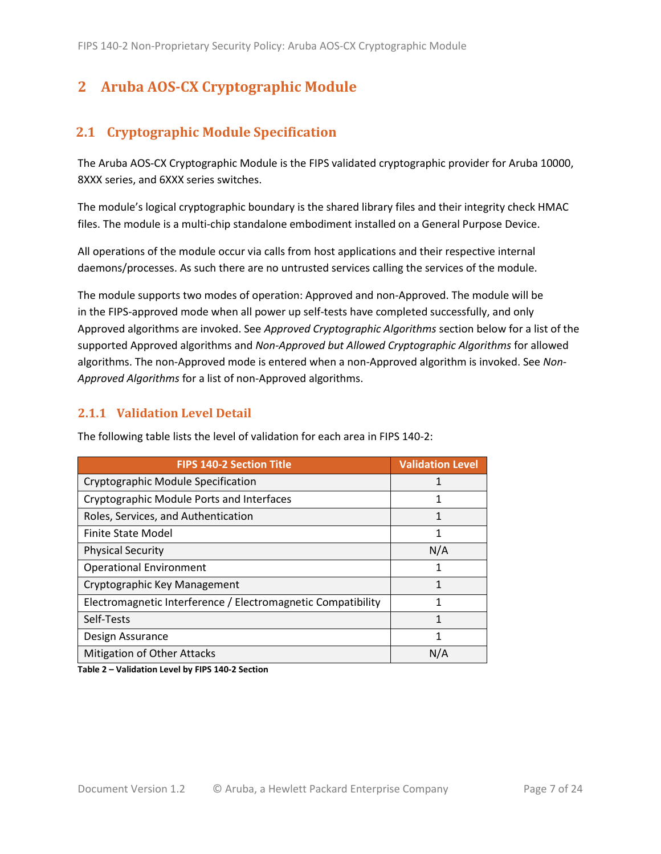# <span id="page-6-0"></span>**2 Aruba AOS-CX Cryptographic Module**

# <span id="page-6-1"></span>**2.1 Cryptographic Module Specification**

The Aruba AOS-CX Cryptographic Module is the FIPS validated cryptographic provider for Aruba 10000, 8XXX series, and 6XXX series switches.

The module's logical cryptographic boundary is the shared library files and their integrity check HMAC files. The module is a multi-chip standalone embodiment installed on a General Purpose Device.

All operations of the module occur via calls from host applications and their respective internal daemons/processes. As such there are no untrusted services calling the services of the module.

The module supports two modes of operation: Approved and non-Approved. The module will be in the FIPS-approved mode when all power up self-tests have completed successfully, and only Approved algorithms are invoked. See *Approved Cryptographic Algorithms* section below for a list of the supported Approved algorithms and *Non-Approved but Allowed Cryptographic Algorithms* for allowed algorithms. The non-Approved mode is entered when a non-Approved algorithm is invoked. See *Non-Approved Algorithms* for a list of non-Approved algorithms.

#### <span id="page-6-2"></span>**2.1.1 Validation Level Detail**

| <b>FIPS 140-2 Section Title</b>                              | <b>Validation Level</b> |
|--------------------------------------------------------------|-------------------------|
| Cryptographic Module Specification                           |                         |
| Cryptographic Module Ports and Interfaces                    | 1                       |
| Roles, Services, and Authentication                          | 1                       |
| Finite State Model                                           | 1                       |
| <b>Physical Security</b>                                     | N/A                     |
| <b>Operational Environment</b>                               | 1                       |
| Cryptographic Key Management                                 |                         |
| Electromagnetic Interference / Electromagnetic Compatibility |                         |
| Self-Tests                                                   | 1                       |
| Design Assurance                                             | 1                       |
| Mitigation of Other Attacks                                  | N/A                     |

The following table lists the level of validation for each area in FIPS 140-2:

**Table 2 – Validation Level by FIPS 140-2 Section**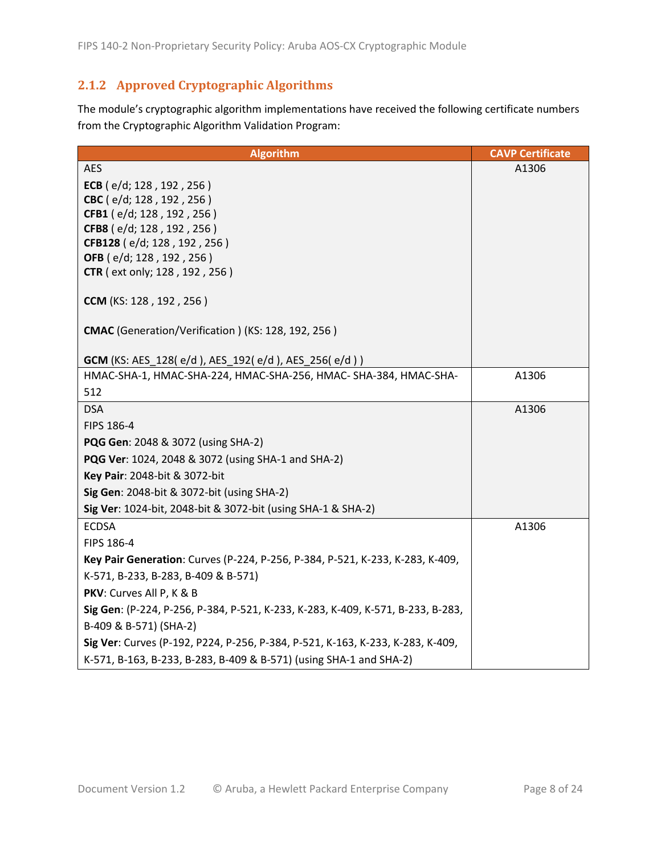## <span id="page-7-0"></span>**2.1.2 Approved Cryptographic Algorithms**

The module's cryptographic algorithm implementations have received the following certificate numbers from the Cryptographic Algorithm Validation Program:

| <b>Algorithm</b>                                                                | <b>CAVP Certificate</b> |
|---------------------------------------------------------------------------------|-------------------------|
| <b>AES</b>                                                                      | A1306                   |
| ECB (e/d; 128, 192, 256)                                                        |                         |
| CBC (e/d; 128, 192, 256)                                                        |                         |
| CFB1 (e/d; 128, 192, 256)                                                       |                         |
| CFB8 (e/d; 128, 192, 256)<br>CFB128 (e/d; 128, 192, 256)                        |                         |
| OFB (e/d; 128, 192, 256)                                                        |                         |
| <b>CTR</b> (ext only; 128, 192, 256)                                            |                         |
| CCM (KS: 128, 192, 256)                                                         |                         |
|                                                                                 |                         |
| <b>CMAC</b> (Generation/Verification) (KS: 128, 192, 256)                       |                         |
| <b>GCM</b> (KS: AES_128(e/d), AES_192(e/d), AES_256(e/d))                       |                         |
| HMAC-SHA-1, HMAC-SHA-224, HMAC-SHA-256, HMAC-SHA-384, HMAC-SHA-                 | A1306                   |
| 512                                                                             |                         |
| <b>DSA</b>                                                                      | A1306                   |
| FIPS 186-4                                                                      |                         |
| <b>PQG Gen: 2048 &amp; 3072 (using SHA-2)</b>                                   |                         |
| <b>PQG Ver:</b> 1024, 2048 & 3072 (using SHA-1 and SHA-2)                       |                         |
| Key Pair: 2048-bit & 3072-bit                                                   |                         |
| Sig Gen: 2048-bit & 3072-bit (using SHA-2)                                      |                         |
| Sig Ver: 1024-bit, 2048-bit & 3072-bit (using SHA-1 & SHA-2)                    |                         |
| <b>ECDSA</b>                                                                    | A1306                   |
| FIPS 186-4                                                                      |                         |
| Key Pair Generation: Curves (P-224, P-256, P-384, P-521, K-233, K-283, K-409,   |                         |
| K-571, B-233, B-283, B-409 & B-571)                                             |                         |
| PKV: Curves All P, K & B                                                        |                         |
| Sig Gen: (P-224, P-256, P-384, P-521, K-233, K-283, K-409, K-571, B-233, B-283, |                         |
| B-409 & B-571) (SHA-2)                                                          |                         |
| Sig Ver: Curves (P-192, P224, P-256, P-384, P-521, K-163, K-233, K-283, K-409,  |                         |
| K-571, B-163, B-233, B-283, B-409 & B-571) (using SHA-1 and SHA-2)              |                         |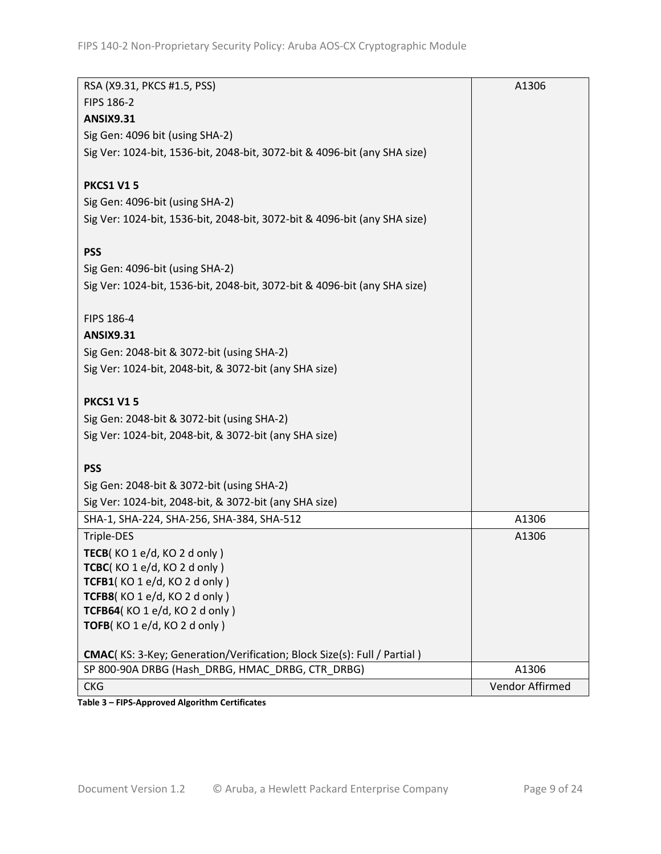| RSA (X9.31, PKCS #1.5, PSS)                                                      | A1306           |
|----------------------------------------------------------------------------------|-----------------|
| <b>FIPS 186-2</b>                                                                |                 |
| <b>ANSIX9.31</b>                                                                 |                 |
| Sig Gen: 4096 bit (using SHA-2)                                                  |                 |
| Sig Ver: 1024-bit, 1536-bit, 2048-bit, 3072-bit & 4096-bit (any SHA size)        |                 |
|                                                                                  |                 |
| <b>PKCS1 V15</b>                                                                 |                 |
| Sig Gen: 4096-bit (using SHA-2)                                                  |                 |
| Sig Ver: 1024-bit, 1536-bit, 2048-bit, 3072-bit & 4096-bit (any SHA size)        |                 |
|                                                                                  |                 |
| <b>PSS</b>                                                                       |                 |
| Sig Gen: 4096-bit (using SHA-2)                                                  |                 |
| Sig Ver: 1024-bit, 1536-bit, 2048-bit, 3072-bit & 4096-bit (any SHA size)        |                 |
|                                                                                  |                 |
| FIPS 186-4                                                                       |                 |
| <b>ANSIX9.31</b>                                                                 |                 |
| Sig Gen: 2048-bit & 3072-bit (using SHA-2)                                       |                 |
| Sig Ver: 1024-bit, 2048-bit, & 3072-bit (any SHA size)                           |                 |
|                                                                                  |                 |
| <b>PKCS1 V15</b>                                                                 |                 |
| Sig Gen: 2048-bit & 3072-bit (using SHA-2)                                       |                 |
| Sig Ver: 1024-bit, 2048-bit, & 3072-bit (any SHA size)                           |                 |
|                                                                                  |                 |
| <b>PSS</b>                                                                       |                 |
| Sig Gen: 2048-bit & 3072-bit (using SHA-2)                                       |                 |
| Sig Ver: 1024-bit, 2048-bit, & 3072-bit (any SHA size)                           |                 |
| SHA-1, SHA-224, SHA-256, SHA-384, SHA-512                                        | A1306           |
| Triple-DES                                                                       | A1306           |
| TECB(KO 1 e/d, KO 2 d only)                                                      |                 |
| TCBC(KO 1 e/d, KO 2 d only)                                                      |                 |
| TCFB1(KO 1 e/d, KO 2 d only)                                                     |                 |
| TCFB8(KO 1 e/d, KO 2 d only)<br>TCFB64(KO 1 e/d, KO 2 d only)                    |                 |
| TOFB(KO 1 e/d, KO 2 d only)                                                      |                 |
|                                                                                  |                 |
| <b>CMAC</b> (KS: 3-Key; Generation/Verification; Block Size(s): Full / Partial ) |                 |
| SP 800-90A DRBG (Hash_DRBG, HMAC_DRBG, CTR_DRBG)                                 | A1306           |
| <b>CKG</b>                                                                       | Vendor Affirmed |

**Table 3 – FIPS-Approved Algorithm Certificates**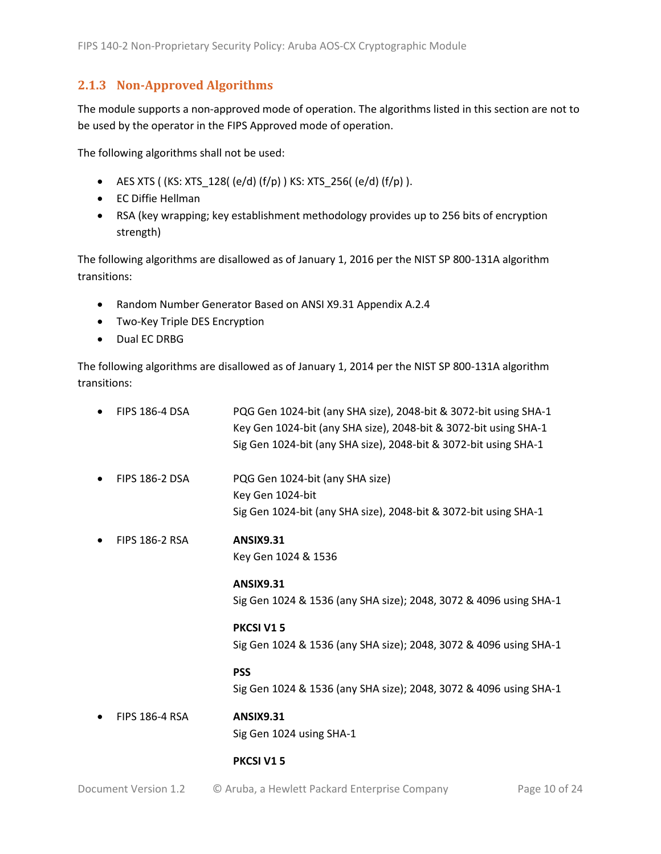#### <span id="page-9-0"></span>**2.1.3 Non-Approved Algorithms**

The module supports a non-approved mode of operation. The algorithms listed in this section are not to be used by the operator in the FIPS Approved mode of operation.

The following algorithms shall not be used:

- AES XTS (  $(KS: XTS_128$  (  $e/d$  )  $(f/p)$  )  $KS: XTS_256$  (  $e/d$  )  $(f/p)$  ).
- EC Diffie Hellman
- RSA (key wrapping; key establishment methodology provides up to 256 bits of encryption strength)

The following algorithms are disallowed as of January 1, 2016 per the NIST SP 800-131A algorithm transitions:

- Random Number Generator Based on ANSI X9.31 Appendix A.2.4
- Two-Key Triple DES Encryption
- Dual EC DRBG

The following algorithms are disallowed as of January 1, 2014 per the NIST SP 800-131A algorithm transitions:

| <b>FIPS 186-4 DSA</b> | PQG Gen 1024-bit (any SHA size), 2048-bit & 3072-bit using SHA-1<br>Key Gen 1024-bit (any SHA size), 2048-bit & 3072-bit using SHA-1<br>Sig Gen 1024-bit (any SHA size), 2048-bit & 3072-bit using SHA-1 |
|-----------------------|----------------------------------------------------------------------------------------------------------------------------------------------------------------------------------------------------------|
| <b>FIPS 186-2 DSA</b> | PQG Gen 1024-bit (any SHA size)<br>Key Gen 1024-bit<br>Sig Gen 1024-bit (any SHA size), 2048-bit & 3072-bit using SHA-1                                                                                  |
| <b>FIPS 186-2 RSA</b> | <b>ANSIX9.31</b><br>Key Gen 1024 & 1536                                                                                                                                                                  |
|                       | <b>ANSIX9.31</b><br>Sig Gen 1024 & 1536 (any SHA size); 2048, 3072 & 4096 using SHA-1                                                                                                                    |
|                       | PKCSI V15<br>Sig Gen 1024 & 1536 (any SHA size); 2048, 3072 & 4096 using SHA-1                                                                                                                           |
|                       | <b>PSS</b><br>Sig Gen 1024 & 1536 (any SHA size); 2048, 3072 & 4096 using SHA-1                                                                                                                          |
| <b>FIPS 186-4 RSA</b> | <b>ANSIX9.31</b><br>Sig Gen 1024 using SHA-1                                                                                                                                                             |
|                       | <b>PKCSI V15</b>                                                                                                                                                                                         |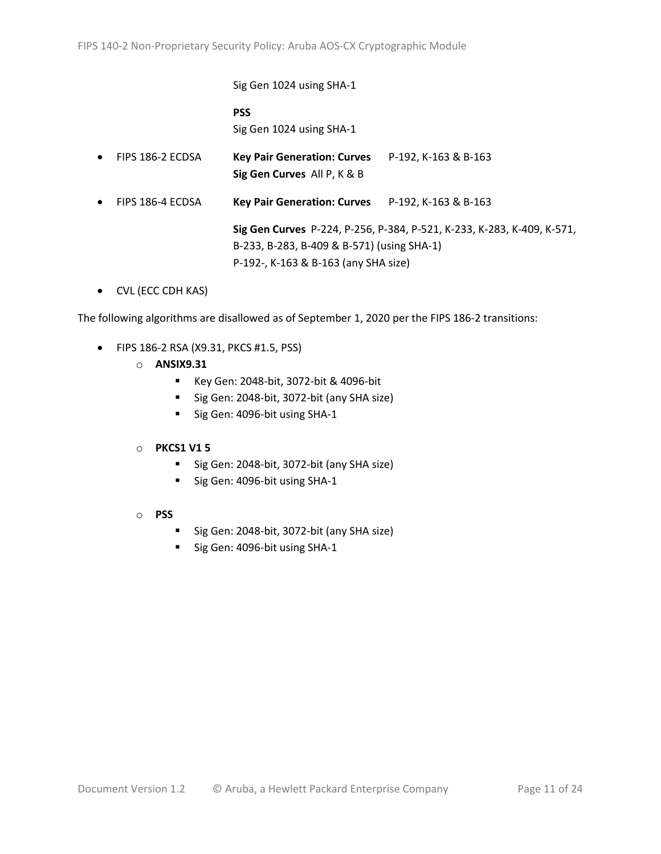Sig Gen 1024 using SHA-1 **PSS** Sig Gen 1024 using SHA-1 • FIPS 186-2 ECDSA **Key Pair Generation: Curves** P-192, K-163 & B-163 **Sig Gen Curves** All P, K & B • FIPS 186-4 ECDSA **Key Pair Generation: Curves** P-192, K-163 & B-163 **Sig Gen Curves** P-224, P-256, P-384, P-521, K-233, K-283, K-409, K-571, B-233, B-283, B-409 & B-571) (using SHA-1) P-192-, K-163 & B-163 (any SHA size)

• CVL (ECC CDH KAS)

The following algorithms are disallowed as of September 1, 2020 per the FIPS 186-2 transitions:

- FIPS 186-2 RSA (X9.31, PKCS #1.5, PSS)
	- o **ANSIX9.31**
		- Key Gen: 2048-bit, 3072-bit & 4096-bit
		- Sig Gen: 2048-bit, 3072-bit (any SHA size)
		- Sig Gen: 4096-bit using SHA-1

#### o **PKCS1 V1 5**

- Sig Gen: 2048-bit, 3072-bit (any SHA size)
- Sig Gen: 4096-bit using SHA-1
- o **PSS**
	- Sig Gen: 2048-bit, 3072-bit (any SHA size)
	- Sig Gen: 4096-bit using SHA-1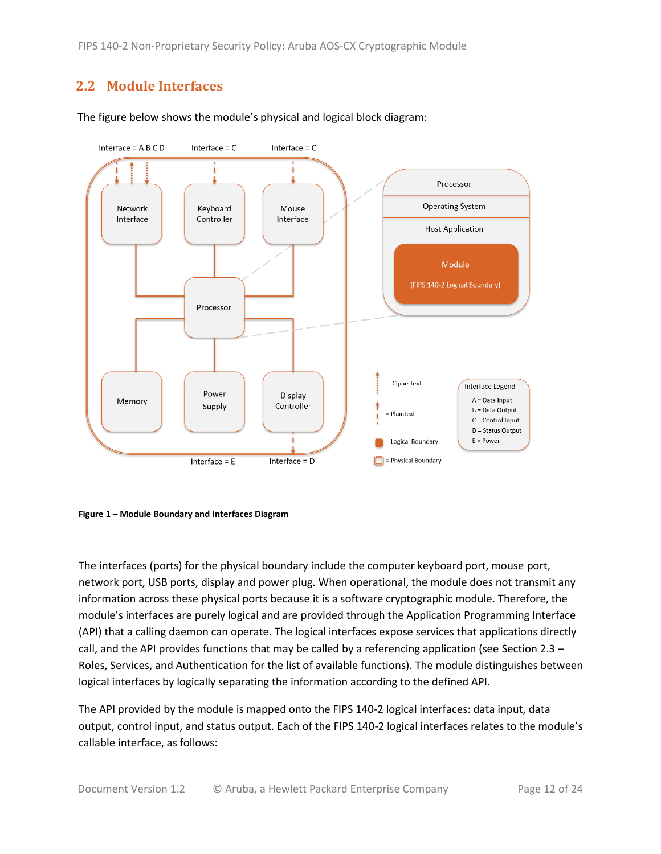## <span id="page-11-0"></span>**2.2 Module Interfaces**



The figure below shows the module's physical and logical block diagram:



The interfaces (ports) for the physical boundary include the computer keyboard port, mouse port, network port, USB ports, display and power plug. When operational, the module does not transmit any information across these physical ports because it is a software cryptographic module. Therefore, the module's interfaces are purely logical and are provided through the Application Programming Interface (API) that a calling daemon can operate. The logical interfaces expose services that applications directly call, and the API provides functions that may be called by a referencing application (see Section 2.3 – Roles, Services, and Authentication for the list of available functions). The module distinguishes between logical interfaces by logically separating the information according to the defined API.

The API provided by the module is mapped onto the FIPS 140-2 logical interfaces: data input, data output, control input, and status output. Each of the FIPS 140-2 logical interfaces relates to the module's callable interface, as follows: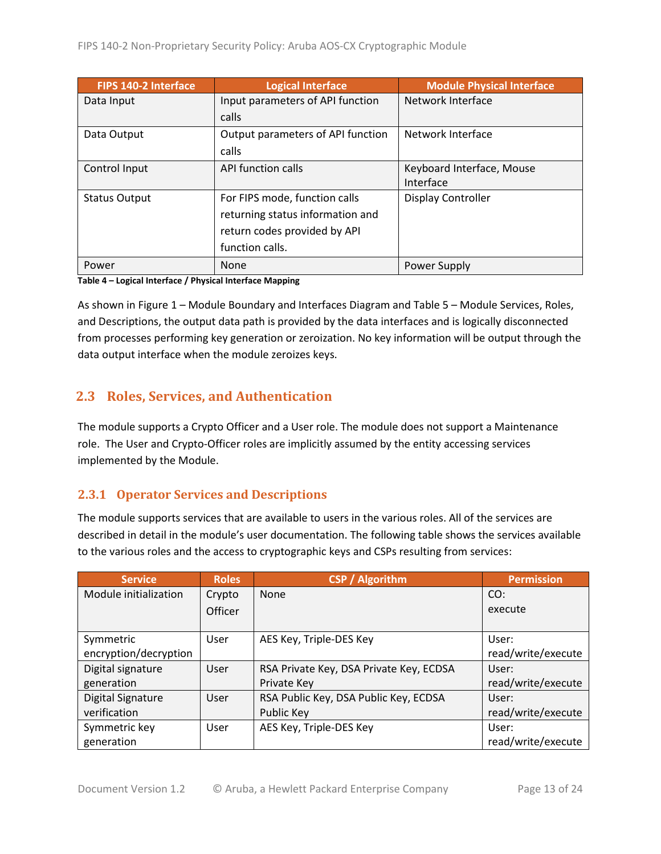| <b>FIPS 140-2 Interface</b> | <b>Logical Interface</b>          | <b>Module Physical Interface</b> |
|-----------------------------|-----------------------------------|----------------------------------|
| Data Input                  | Input parameters of API function  | Network Interface                |
|                             | calls                             |                                  |
| Data Output                 | Output parameters of API function | Network Interface                |
|                             | calls                             |                                  |
| Control Input               | API function calls                | Keyboard Interface, Mouse        |
|                             |                                   | Interface                        |
| <b>Status Output</b>        | For FIPS mode, function calls     | Display Controller               |
|                             | returning status information and  |                                  |
|                             | return codes provided by API      |                                  |
|                             | function calls.                   |                                  |
| Power                       | None                              | Power Supply                     |

**Table 4 – Logical Interface / Physical Interface Mapping**

As shown in Figure 1 – Module Boundary and Interfaces Diagram and Table 5 – Module Services, Roles, [and Descriptions,](#page-13-3) the output data path is provided by the data interfaces and is logically disconnected from processes performing key generation or zeroization. No key information will be output through the data output interface when the module zeroizes keys.

# <span id="page-12-0"></span>**2.3 Roles, Services, and Authentication**

The module supports a Crypto Officer and a User role. The module does not support a Maintenance role. The User and Crypto-Officer roles are implicitly assumed by the entity accessing services implemented by the Module.

#### <span id="page-12-1"></span>**2.3.1 Operator Services and Descriptions**

The module supports services that are available to users in the various roles. All of the services are described in detail in the module's user documentation. The following table shows the services available to the various roles and the access to cryptographic keys and CSPs resulting from services:

| <b>Service</b>           | <b>Roles</b>   | <b>CSP / Algorithm</b>                  | <b>Permission</b>  |
|--------------------------|----------------|-----------------------------------------|--------------------|
| Module initialization    | Crypto         | None                                    | CO:                |
|                          | <b>Officer</b> |                                         | execute            |
|                          |                |                                         |                    |
| Symmetric                | User           | AES Key, Triple-DES Key                 | User:              |
| encryption/decryption    |                |                                         | read/write/execute |
| Digital signature        | User           | RSA Private Key, DSA Private Key, ECDSA | User:              |
| generation               |                | Private Key                             | read/write/execute |
| <b>Digital Signature</b> | User           | RSA Public Key, DSA Public Key, ECDSA   | User:              |
| verification             |                | Public Key                              | read/write/execute |
| Symmetric key            | User           | AES Key, Triple-DES Key                 | User:              |
| generation               |                |                                         | read/write/execute |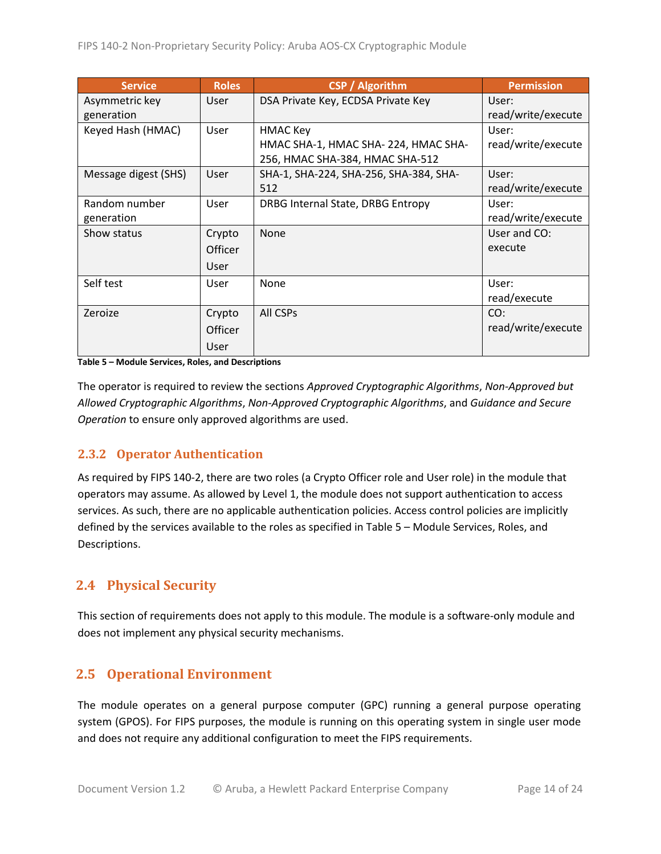| <b>Service</b>       | <b>Roles</b> | <b>CSP</b> / Algorithm                 | <b>Permission</b>  |
|----------------------|--------------|----------------------------------------|--------------------|
| Asymmetric key       | <b>User</b>  | DSA Private Key, ECDSA Private Key     | User:              |
| generation           |              |                                        | read/write/execute |
| Keyed Hash (HMAC)    | User         | <b>HMAC Key</b>                        | User:              |
|                      |              | HMAC SHA-1, HMAC SHA-224, HMAC SHA-    | read/write/execute |
|                      |              | 256, HMAC SHA-384, HMAC SHA-512        |                    |
| Message digest (SHS) | User         | SHA-1, SHA-224, SHA-256, SHA-384, SHA- | User:              |
|                      |              | 512                                    | read/write/execute |
| Random number        | <b>User</b>  | DRBG Internal State, DRBG Entropy      | User:              |
| generation           |              |                                        | read/write/execute |
| Show status          | Crypto       | <b>None</b>                            | User and CO:       |
|                      | Officer      |                                        | execute            |
|                      | User         |                                        |                    |
| Self test            | <b>User</b>  | None                                   | User:              |
|                      |              |                                        | read/execute       |
| Zeroize              | Crypto       | All CSPs                               | CO:                |
|                      | Officer      |                                        | read/write/execute |
|                      | <b>User</b>  |                                        |                    |

<span id="page-13-3"></span>**Table 5 – Module Services, Roles, and Descriptions** 

The operator is required to review the sections *Approved Cryptographic Algorithms*, *Non-Approved but Allowed Cryptographic Algorithms*, *Non-Approved Cryptographic Algorithms*, and *Guidance and Secure Operation* to ensure only approved algorithms are used.

#### <span id="page-13-0"></span>**2.3.2 Operator Authentication**

As required by FIPS 140-2, there are two roles (a Crypto Officer role and User role) in the module that operators may assume. As allowed by Level 1, the module does not support authentication to access services. As such, there are no applicable authentication policies. Access control policies are implicitly defined by the services available to the roles as specified in Table 5 – Module Services, Roles, and Descriptions.

## <span id="page-13-1"></span>**2.4 Physical Security**

This section of requirements does not apply to this module. The module is a software-only module and does not implement any physical security mechanisms.

## <span id="page-13-2"></span>**2.5 Operational Environment**

The module operates on a general purpose computer (GPC) running a general purpose operating system (GPOS). For FIPS purposes, the module is running on this operating system in single user mode and does not require any additional configuration to meet the FIPS requirements.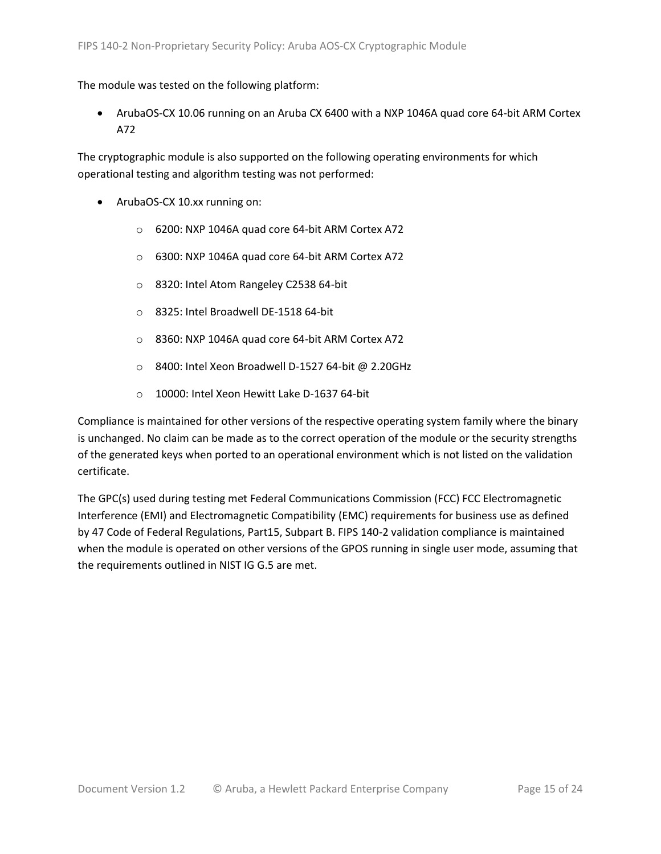#### The module was tested on the following platform:

• ArubaOS-CX 10.06 running on an Aruba CX 6400 with a NXP 1046A quad core 64-bit ARM Cortex A72

The cryptographic module is also supported on the following operating environments for which operational testing and algorithm testing was not performed:

- ArubaOS-CX 10.xx running on:
	- o 6200: NXP 1046A quad core 64-bit ARM Cortex A72
	- o 6300: NXP 1046A quad core 64-bit ARM Cortex A72
	- o 8320: Intel Atom Rangeley C2538 64-bit
	- o 8325: Intel Broadwell DE-1518 64-bit
	- o 8360: NXP 1046A quad core 64-bit ARM Cortex A72
	- o 8400: Intel Xeon Broadwell D-1527 64-bit @ 2.20GHz
	- o 10000: Intel Xeon Hewitt Lake D-1637 64-bit

Compliance is maintained for other versions of the respective operating system family where the binary is unchanged. No claim can be made as to the correct operation of the module or the security strengths of the generated keys when ported to an operational environment which is not listed on the validation certificate.

The GPC(s) used during testing met Federal Communications Commission (FCC) FCC Electromagnetic Interference (EMI) and Electromagnetic Compatibility (EMC) requirements for business use as defined by 47 Code of Federal Regulations, Part15, Subpart B. FIPS 140-2 validation compliance is maintained when the module is operated on other versions of the GPOS running in single user mode, assuming that the requirements outlined in NIST IG G.5 are met.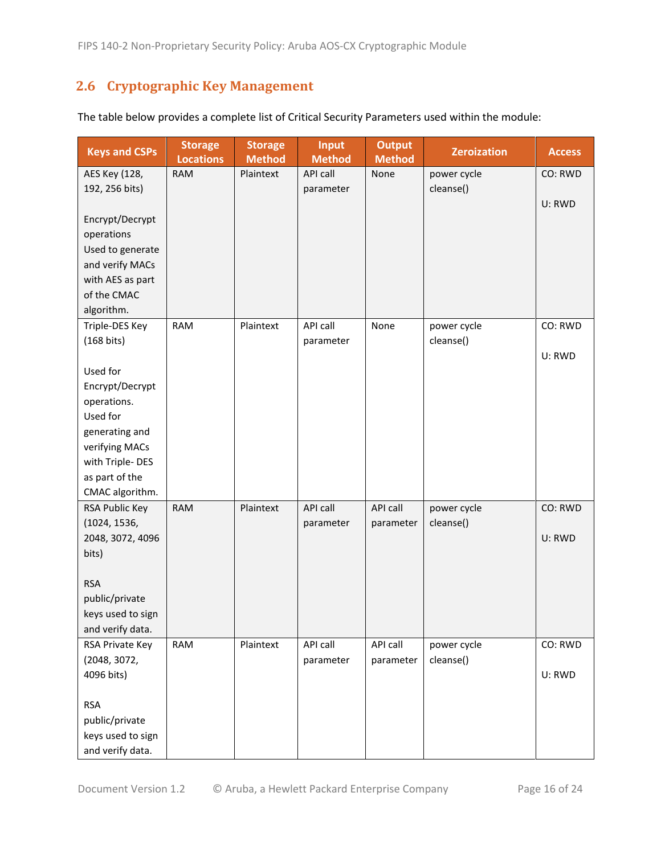# <span id="page-15-0"></span>**2.6 Cryptographic Key Management**

| <b>Keys and CSPs</b> | <b>Storage</b><br><b>Locations</b> | <b>Storage</b><br><b>Method</b> | <b>Input</b><br><b>Method</b> | <b>Output</b><br><b>Method</b> | <b>Zeroization</b> | <b>Access</b> |
|----------------------|------------------------------------|---------------------------------|-------------------------------|--------------------------------|--------------------|---------------|
| AES Key (128,        | <b>RAM</b>                         | Plaintext                       | API call                      | None                           | power cycle        | CO: RWD       |
| 192, 256 bits)       |                                    |                                 | parameter                     |                                | cleanse()          |               |
|                      |                                    |                                 |                               |                                |                    | U: RWD        |
| Encrypt/Decrypt      |                                    |                                 |                               |                                |                    |               |
| operations           |                                    |                                 |                               |                                |                    |               |
| Used to generate     |                                    |                                 |                               |                                |                    |               |
| and verify MACs      |                                    |                                 |                               |                                |                    |               |
| with AES as part     |                                    |                                 |                               |                                |                    |               |
| of the CMAC          |                                    |                                 |                               |                                |                    |               |
| algorithm.           |                                    |                                 |                               |                                |                    |               |
| Triple-DES Key       | <b>RAM</b>                         | Plaintext                       | API call                      | None                           | power cycle        | CO: RWD       |
| (168 bits)           |                                    |                                 | parameter                     |                                | cleanse()          |               |
|                      |                                    |                                 |                               |                                |                    | U: RWD        |
| Used for             |                                    |                                 |                               |                                |                    |               |
| Encrypt/Decrypt      |                                    |                                 |                               |                                |                    |               |
| operations.          |                                    |                                 |                               |                                |                    |               |
| Used for             |                                    |                                 |                               |                                |                    |               |
| generating and       |                                    |                                 |                               |                                |                    |               |
| verifying MACs       |                                    |                                 |                               |                                |                    |               |
| with Triple-DES      |                                    |                                 |                               |                                |                    |               |
| as part of the       |                                    |                                 |                               |                                |                    |               |
| CMAC algorithm.      |                                    |                                 |                               |                                |                    |               |
| RSA Public Key       | <b>RAM</b>                         | Plaintext                       | API call                      | API call                       | power cycle        | CO: RWD       |
| (1024, 1536,         |                                    |                                 | parameter                     | parameter                      | cleanse()          |               |
| 2048, 3072, 4096     |                                    |                                 |                               |                                |                    | U: RWD        |
| bits)                |                                    |                                 |                               |                                |                    |               |
|                      |                                    |                                 |                               |                                |                    |               |
| <b>RSA</b>           |                                    |                                 |                               |                                |                    |               |
| public/private       |                                    |                                 |                               |                                |                    |               |
| keys used to sign    |                                    |                                 |                               |                                |                    |               |
| and verify data.     |                                    |                                 |                               |                                |                    |               |
| RSA Private Key      | <b>RAM</b>                         | Plaintext                       | API call                      | API call                       | power cycle        | CO: RWD       |
| (2048, 3072,         |                                    |                                 | parameter                     | parameter                      | cleanse()          |               |
| 4096 bits)           |                                    |                                 |                               |                                |                    | U: RWD        |
|                      |                                    |                                 |                               |                                |                    |               |
| <b>RSA</b>           |                                    |                                 |                               |                                |                    |               |
| public/private       |                                    |                                 |                               |                                |                    |               |
| keys used to sign    |                                    |                                 |                               |                                |                    |               |
| and verify data.     |                                    |                                 |                               |                                |                    |               |

The table below provides a complete list of Critical Security Parameters used within the module: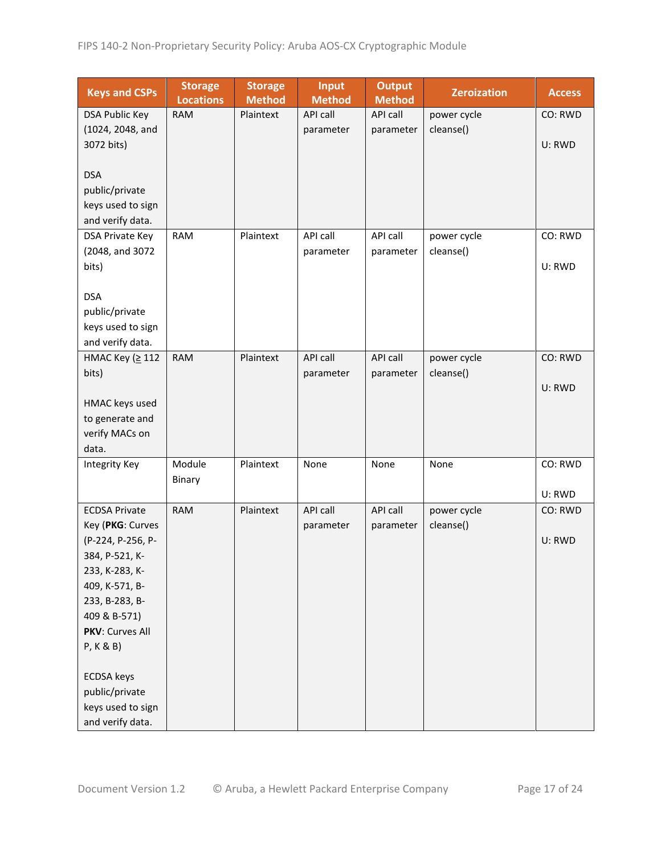| <b>Keys and CSPs</b> | <b>Storage</b><br><b>Locations</b> | <b>Storage</b><br><b>Method</b> | <b>Input</b><br><b>Method</b> | <b>Output</b><br><b>Method</b> | <b>Zeroization</b> | <b>Access</b> |
|----------------------|------------------------------------|---------------------------------|-------------------------------|--------------------------------|--------------------|---------------|
| DSA Public Key       | <b>RAM</b>                         | Plaintext                       | API call                      | <b>API call</b>                | power cycle        | CO: RWD       |
| (1024, 2048, and     |                                    |                                 | parameter                     | parameter                      | cleanse()          |               |
| 3072 bits)           |                                    |                                 |                               |                                |                    | U: RWD        |
|                      |                                    |                                 |                               |                                |                    |               |
| <b>DSA</b>           |                                    |                                 |                               |                                |                    |               |
| public/private       |                                    |                                 |                               |                                |                    |               |
| keys used to sign    |                                    |                                 |                               |                                |                    |               |
| and verify data.     |                                    |                                 |                               |                                |                    |               |
| DSA Private Key      | <b>RAM</b>                         | Plaintext                       | API call                      | API call                       | power cycle        | CO: RWD       |
| (2048, and 3072      |                                    |                                 | parameter                     | parameter                      | cleanse()          |               |
| bits)                |                                    |                                 |                               |                                |                    | U: RWD        |
|                      |                                    |                                 |                               |                                |                    |               |
| <b>DSA</b>           |                                    |                                 |                               |                                |                    |               |
| public/private       |                                    |                                 |                               |                                |                    |               |
| keys used to sign    |                                    |                                 |                               |                                |                    |               |
| and verify data.     |                                    |                                 |                               |                                |                    |               |
| HMAC Key (≥ 112      | <b>RAM</b>                         | Plaintext                       | <b>API call</b>               | API call                       | power cycle        | CO: RWD       |
| bits)                |                                    |                                 | parameter                     | parameter                      | cleanse()          |               |
|                      |                                    |                                 |                               |                                |                    | U: RWD        |
| HMAC keys used       |                                    |                                 |                               |                                |                    |               |
| to generate and      |                                    |                                 |                               |                                |                    |               |
| verify MACs on       |                                    |                                 |                               |                                |                    |               |
| data.                |                                    |                                 |                               |                                |                    |               |
| Integrity Key        | Module                             | Plaintext                       | None                          | None                           | None               | CO: RWD       |
|                      | Binary                             |                                 |                               |                                |                    |               |
|                      |                                    |                                 |                               |                                |                    | U: RWD        |
| <b>ECDSA Private</b> | <b>RAM</b>                         | Plaintext                       | API call                      | API call                       | power cycle        | CO: RWD       |
| Key (PKG: Curves     |                                    |                                 | parameter                     | parameter                      | cleanse()          |               |
| (P-224, P-256, P-    |                                    |                                 |                               |                                |                    | U: RWD        |
| 384, P-521, K-       |                                    |                                 |                               |                                |                    |               |
| 233, K-283, K-       |                                    |                                 |                               |                                |                    |               |
| 409, K-571, B-       |                                    |                                 |                               |                                |                    |               |
| 233, B-283, B-       |                                    |                                 |                               |                                |                    |               |
| 409 & B-571)         |                                    |                                 |                               |                                |                    |               |
| PKV: Curves All      |                                    |                                 |                               |                                |                    |               |
| P, K & B)            |                                    |                                 |                               |                                |                    |               |
|                      |                                    |                                 |                               |                                |                    |               |
| <b>ECDSA</b> keys    |                                    |                                 |                               |                                |                    |               |
| public/private       |                                    |                                 |                               |                                |                    |               |
| keys used to sign    |                                    |                                 |                               |                                |                    |               |
| and verify data.     |                                    |                                 |                               |                                |                    |               |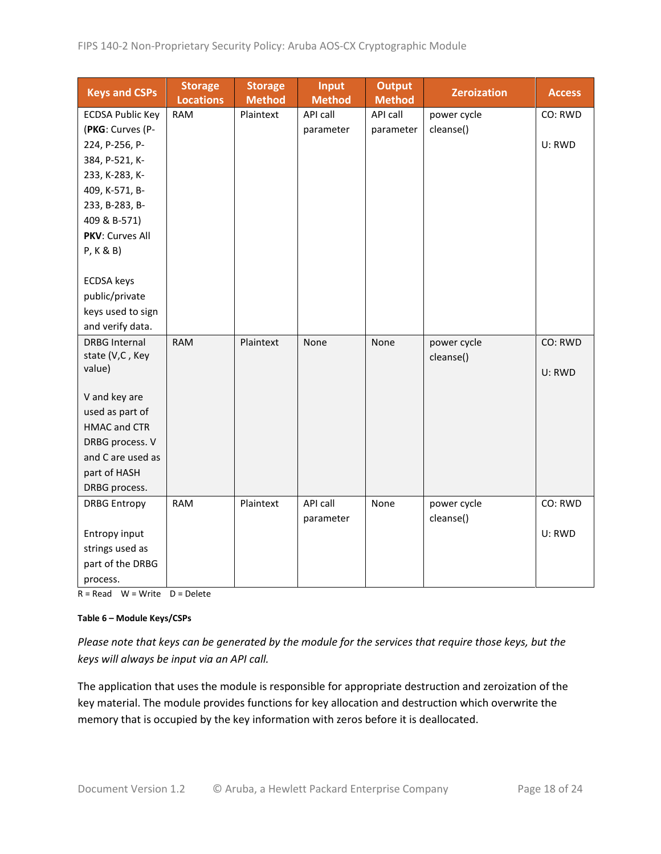| <b>Keys and CSPs</b>    | <b>Storage</b><br><b>Locations</b> | <b>Storage</b><br><b>Method</b> | <b>Input</b><br><b>Method</b> | <b>Output</b><br><b>Method</b> | <b>Zeroization</b> | <b>Access</b> |
|-------------------------|------------------------------------|---------------------------------|-------------------------------|--------------------------------|--------------------|---------------|
| <b>ECDSA Public Key</b> | <b>RAM</b>                         | Plaintext                       | API call                      | API call                       | power cycle        | CO: RWD       |
| (PKG: Curves (P-        |                                    |                                 | parameter                     | parameter                      | cleanse()          |               |
| 224, P-256, P-          |                                    |                                 |                               |                                |                    | U: RWD        |
| 384, P-521, K-          |                                    |                                 |                               |                                |                    |               |
| 233, K-283, K-          |                                    |                                 |                               |                                |                    |               |
| 409, K-571, B-          |                                    |                                 |                               |                                |                    |               |
| 233, B-283, B-          |                                    |                                 |                               |                                |                    |               |
| 409 & B-571)            |                                    |                                 |                               |                                |                    |               |
| PKV: Curves All         |                                    |                                 |                               |                                |                    |               |
| P, K & B)               |                                    |                                 |                               |                                |                    |               |
|                         |                                    |                                 |                               |                                |                    |               |
| <b>ECDSA</b> keys       |                                    |                                 |                               |                                |                    |               |
| public/private          |                                    |                                 |                               |                                |                    |               |
| keys used to sign       |                                    |                                 |                               |                                |                    |               |
| and verify data.        |                                    |                                 |                               |                                |                    |               |
| <b>DRBG Internal</b>    | <b>RAM</b>                         | Plaintext                       | None                          | None                           | power cycle        | CO: RWD       |
| state (V,C, Key         |                                    |                                 |                               |                                | cleanse()          |               |
| value)                  |                                    |                                 |                               |                                |                    | U: RWD        |
| V and key are           |                                    |                                 |                               |                                |                    |               |
| used as part of         |                                    |                                 |                               |                                |                    |               |
| <b>HMAC and CTR</b>     |                                    |                                 |                               |                                |                    |               |
| DRBG process. V         |                                    |                                 |                               |                                |                    |               |
| and C are used as       |                                    |                                 |                               |                                |                    |               |
| part of HASH            |                                    |                                 |                               |                                |                    |               |
| DRBG process.           |                                    |                                 |                               |                                |                    |               |
| <b>DRBG Entropy</b>     | <b>RAM</b>                         | Plaintext                       | API call                      | None                           | power cycle        | CO: RWD       |
|                         |                                    |                                 | parameter                     |                                | cleanse()          |               |
| Entropy input           |                                    |                                 |                               |                                |                    | U: RWD        |
| strings used as         |                                    |                                 |                               |                                |                    |               |
| part of the DRBG        |                                    |                                 |                               |                                |                    |               |
| process.                |                                    |                                 |                               |                                |                    |               |

 $R = Read \tW = Write \tD = Delete$ 

#### **Table 6 – Module Keys/CSPs**

*Please note that keys can be generated by the module for the services that require those keys, but the keys will always be input via an API call.*

The application that uses the module is responsible for appropriate destruction and zeroization of the key material. The module provides functions for key allocation and destruction which overwrite the memory that is occupied by the key information with zeros before it is deallocated.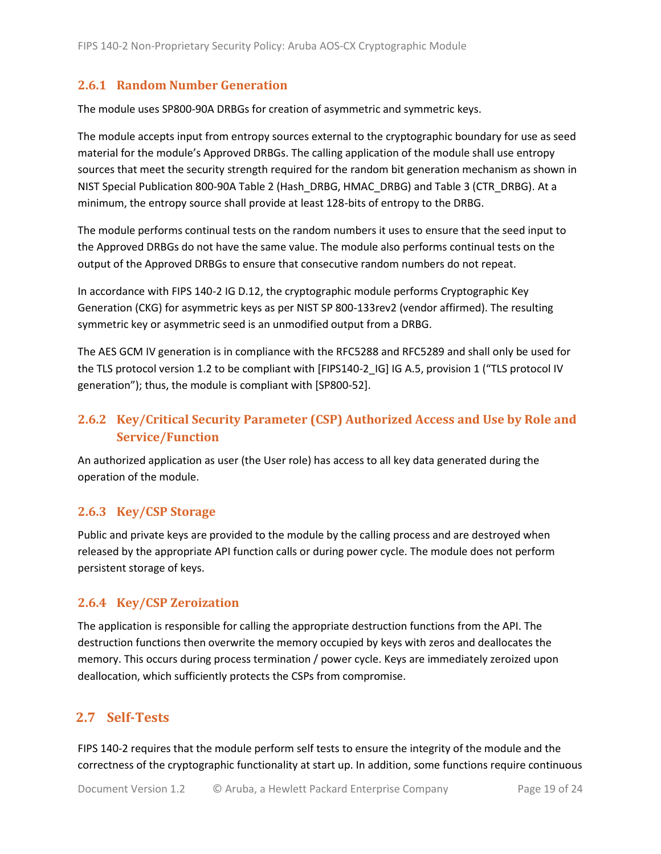#### <span id="page-18-0"></span>**2.6.1 Random Number Generation**

The module uses SP800-90A DRBGs for creation of asymmetric and symmetric keys.

The module accepts input from entropy sources external to the cryptographic boundary for use as seed material for the module's Approved DRBGs. The calling application of the module shall use entropy sources that meet the security strength required for the random bit generation mechanism as shown in NIST Special Publication 800-90A Table 2 (Hash\_DRBG, HMAC\_DRBG) and Table 3 (CTR\_DRBG). At a minimum, the entropy source shall provide at least 128-bits of entropy to the DRBG.

The module performs continual tests on the random numbers it uses to ensure that the seed input to the Approved DRBGs do not have the same value. The module also performs continual tests on the output of the Approved DRBGs to ensure that consecutive random numbers do not repeat.

In accordance with FIPS 140-2 IG D.12, the cryptographic module performs Cryptographic Key Generation (CKG) for asymmetric keys as per NIST SP 800-133rev2 (vendor affirmed). The resulting symmetric key or asymmetric seed is an unmodified output from a DRBG.

The AES GCM IV generation is in compliance with the RFC5288 and RFC5289 and shall only be used for the TLS protocol version 1.2 to be compliant with [FIPS140-2 IG] IG A.5, provision 1 ("TLS protocol IV generation"); thus, the module is compliant with [SP800-52].

# <span id="page-18-1"></span>**2.6.2 Key/Critical Security Parameter (CSP) Authorized Access and Use by Role and Service/Function**

An authorized application as user (the User role) has access to all key data generated during the operation of the module.

#### <span id="page-18-2"></span>**2.6.3 Key/CSP Storage**

Public and private keys are provided to the module by the calling process and are destroyed when released by the appropriate API function calls or during power cycle. The module does not perform persistent storage of keys.

#### <span id="page-18-3"></span>**2.6.4 Key/CSP Zeroization**

The application is responsible for calling the appropriate destruction functions from the API. The destruction functions then overwrite the memory occupied by keys with zeros and deallocates the memory. This occurs during process termination / power cycle. Keys are immediately zeroized upon deallocation, which sufficiently protects the CSPs from compromise.

#### <span id="page-18-4"></span>**2.7 Self-Tests**

FIPS 140-2 requires that the module perform self tests to ensure the integrity of the module and the correctness of the cryptographic functionality at start up. In addition, some functions require continuous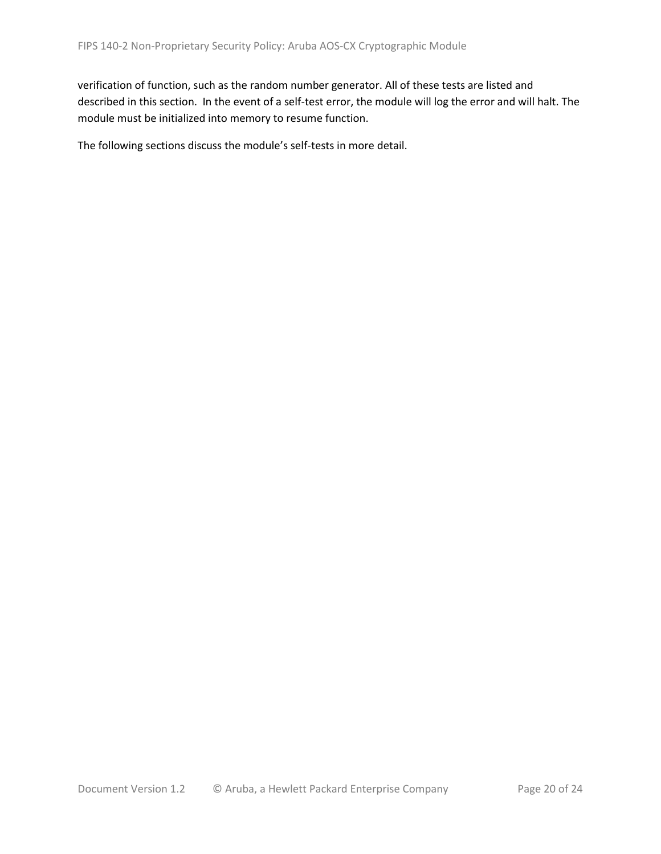verification of function, such as the random number generator. All of these tests are listed and described in this section. In the event of a self-test error, the module will log the error and will halt. The module must be initialized into memory to resume function.

The following sections discuss the module's self-tests in more detail.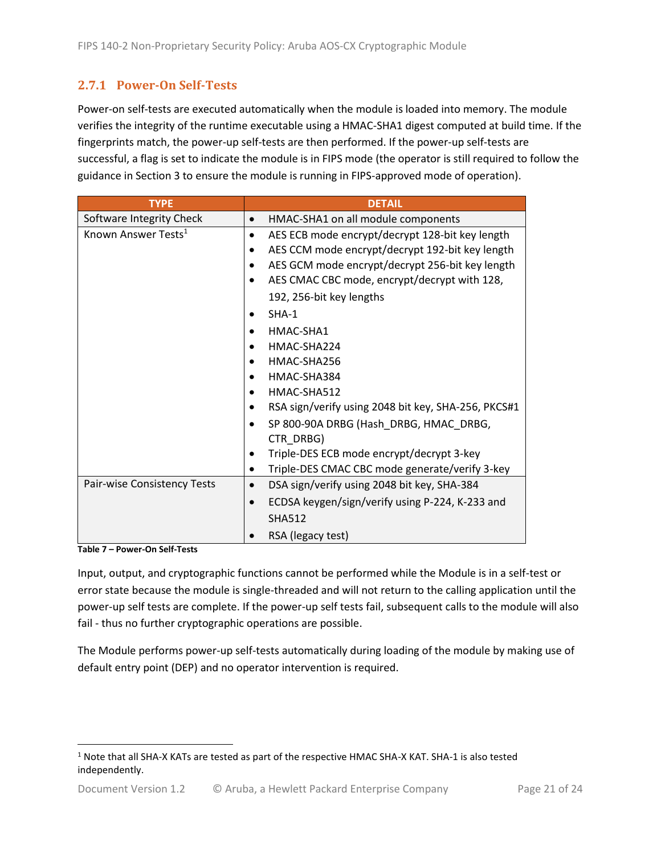### <span id="page-20-0"></span>**2.7.1 Power-On Self-Tests**

Power-on self-tests are executed automatically when the module is loaded into memory. The module verifies the integrity of the runtime executable using a HMAC-SHA1 digest computed at build time. If the fingerprints match, the power-up self-tests are then performed. If the power-up self-tests are successful, a flag is set to indicate the module is in FIPS mode (the operator is still required to follow the guidance in Section 3 to ensure the module is running in FIPS-approved mode of operation).

| <b>TYPE</b>                     | <b>DETAIL</b>                                            |  |  |  |  |
|---------------------------------|----------------------------------------------------------|--|--|--|--|
| Software Integrity Check        | HMAC-SHA1 on all module components                       |  |  |  |  |
| Known Answer Tests <sup>1</sup> | AES ECB mode encrypt/decrypt 128-bit key length<br>٠     |  |  |  |  |
|                                 | AES CCM mode encrypt/decrypt 192-bit key length          |  |  |  |  |
|                                 | AES GCM mode encrypt/decrypt 256-bit key length          |  |  |  |  |
|                                 | AES CMAC CBC mode, encrypt/decrypt with 128,             |  |  |  |  |
|                                 | 192, 256-bit key lengths                                 |  |  |  |  |
|                                 | $SHA-1$                                                  |  |  |  |  |
|                                 | HMAC-SHA1                                                |  |  |  |  |
|                                 | HMAC-SHA224                                              |  |  |  |  |
|                                 | HMAC-SHA256                                              |  |  |  |  |
|                                 | HMAC-SHA384                                              |  |  |  |  |
|                                 | HMAC-SHA512                                              |  |  |  |  |
|                                 | RSA sign/verify using 2048 bit key, SHA-256, PKCS#1      |  |  |  |  |
|                                 | SP 800-90A DRBG (Hash_DRBG, HMAC_DRBG,                   |  |  |  |  |
|                                 | CTR_DRBG)                                                |  |  |  |  |
|                                 | Triple-DES ECB mode encrypt/decrypt 3-key                |  |  |  |  |
|                                 | Triple-DES CMAC CBC mode generate/verify 3-key<br>٠      |  |  |  |  |
| Pair-wise Consistency Tests     | DSA sign/verify using 2048 bit key, SHA-384<br>$\bullet$ |  |  |  |  |
|                                 | ECDSA keygen/sign/verify using P-224, K-233 and          |  |  |  |  |
|                                 | <b>SHA512</b>                                            |  |  |  |  |
|                                 | RSA (legacy test)                                        |  |  |  |  |

**Table 7 – Power-On Self-Tests**

Input, output, and cryptographic functions cannot be performed while the Module is in a self-test or error state because the module is single-threaded and will not return to the calling application until the power-up self tests are complete. If the power-up self tests fail, subsequent calls to the module will also fail - thus no further cryptographic operations are possible.

The Module performs power-up self-tests automatically during loading of the module by making use of default entry point (DEP) and no operator intervention is required.

<sup>1</sup> Note that all SHA-X KATs are tested as part of the respective HMAC SHA-X KAT. SHA-1 is also tested independently.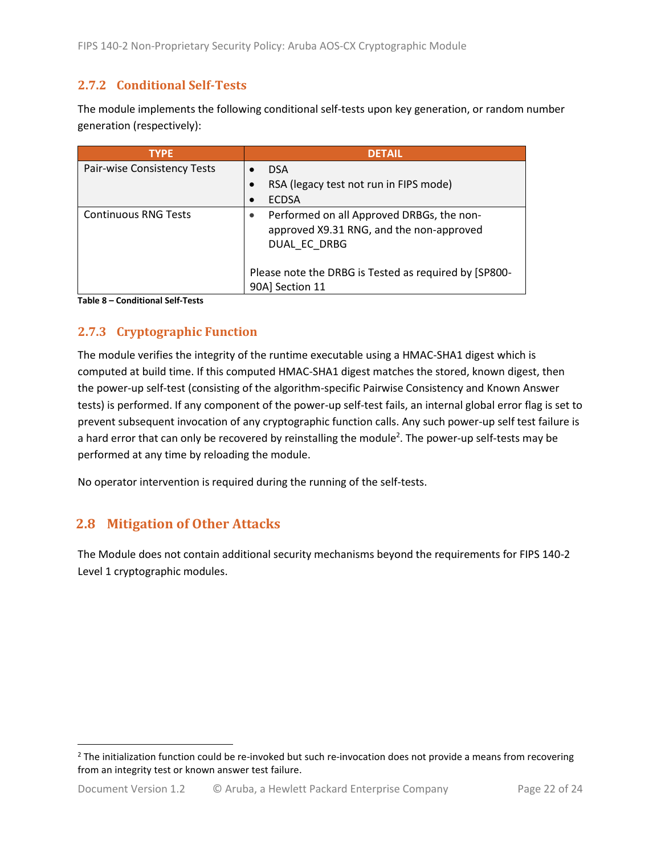### <span id="page-21-0"></span>**2.7.2 Conditional Self-Tests**

The module implements the following conditional self-tests upon key generation, or random number generation (respectively):

| <b>TYPE</b>                 | <b>DETAIL</b>                                                                                         |
|-----------------------------|-------------------------------------------------------------------------------------------------------|
| Pair-wise Consistency Tests | <b>DSA</b>                                                                                            |
|                             | RSA (legacy test not run in FIPS mode)                                                                |
|                             | <b>ECDSA</b>                                                                                          |
| <b>Continuous RNG Tests</b> | Performed on all Approved DRBGs, the non-<br>approved X9.31 RNG, and the non-approved<br>DUAL EC DRBG |
|                             | Please note the DRBG is Tested as required by [SP800-<br>90A] Section 11                              |

**Table 8 – Conditional Self-Tests**

## <span id="page-21-1"></span>**2.7.3 Cryptographic Function**

The module verifies the integrity of the runtime executable using a HMAC-SHA1 digest which is computed at build time. If this computed HMAC-SHA1 digest matches the stored, known digest, then the power-up self-test (consisting of the algorithm-specific Pairwise Consistency and Known Answer tests) is performed. If any component of the power-up self-test fails, an internal global error flag is set to prevent subsequent invocation of any cryptographic function calls. Any such power-up self test failure is a hard error that can only be recovered by reinstalling the module<sup>2</sup>. The power-up self-tests may be performed at any time by reloading the module.

No operator intervention is required during the running of the self-tests.

## <span id="page-21-2"></span>**2.8 Mitigation of Other Attacks**

The Module does not contain additional security mechanisms beyond the requirements for FIPS 140-2 Level 1 cryptographic modules.

 $2$  The initialization function could be re-invoked but such re-invocation does not provide a means from recovering from an integrity test or known answer test failure.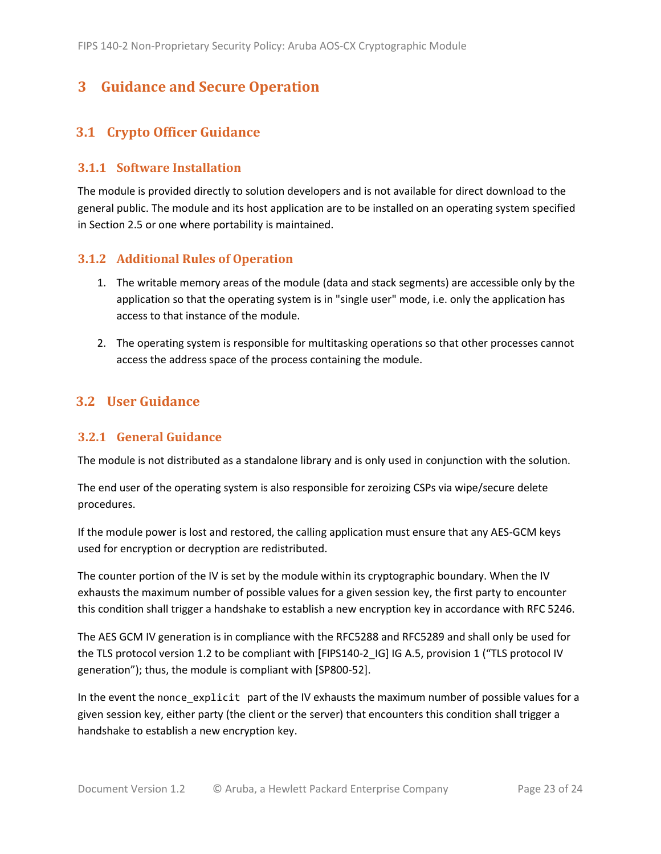# <span id="page-22-0"></span>**3 Guidance and Secure Operation**

### <span id="page-22-1"></span>**3.1 Crypto Officer Guidance**

#### <span id="page-22-2"></span>**3.1.1 Software Installation**

The module is provided directly to solution developers and is not available for direct download to the general public. The module and its host application are to be installed on an operating system specified in Section [2.5](#page-13-2) or one where portability is maintained.

#### <span id="page-22-3"></span>**3.1.2 Additional Rules of Operation**

- 1. The writable memory areas of the module (data and stack segments) are accessible only by the application so that the operating system is in "single user" mode, i.e. only the application has access to that instance of the module.
- 2. The operating system is responsible for multitasking operations so that other processes cannot access the address space of the process containing the module.

#### <span id="page-22-4"></span>**3.2 User Guidance**

#### <span id="page-22-5"></span>**3.2.1 General Guidance**

The module is not distributed as a standalone library and is only used in conjunction with the solution.

The end user of the operating system is also responsible for zeroizing CSPs via wipe/secure delete procedures.

If the module power is lost and restored, the calling application must ensure that any AES-GCM keys used for encryption or decryption are redistributed.

The counter portion of the IV is set by the module within its cryptographic boundary. When the IV exhausts the maximum number of possible values for a given session key, the first party to encounter this condition shall trigger a handshake to establish a new encryption key in accordance with RFC 5246.

The AES GCM IV generation is in compliance with the RFC5288 and RFC5289 and shall only be used for the TLS protocol version 1.2 to be compliant with [FIPS140-2 IG] IG A.5, provision 1 ("TLS protocol IV generation"); thus, the module is compliant with [SP800-52].

In the event the nonce\_explicit part of the IV exhausts the maximum number of possible values for a given session key, either party (the client or the server) that encounters this condition shall trigger a handshake to establish a new encryption key.